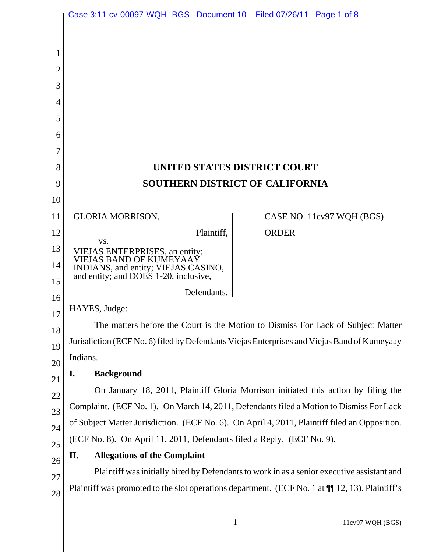|                | Case 3:11-cv-00097-WQH-BGS Document 10 Filed 07/26/11 Page 1 of 8                                  |              |                           |
|----------------|----------------------------------------------------------------------------------------------------|--------------|---------------------------|
|                |                                                                                                    |              |                           |
| 1              |                                                                                                    |              |                           |
| $\overline{2}$ |                                                                                                    |              |                           |
| 3              |                                                                                                    |              |                           |
| 4              |                                                                                                    |              |                           |
| 5              |                                                                                                    |              |                           |
| 6              |                                                                                                    |              |                           |
| 7              |                                                                                                    |              |                           |
| 8              | UNITED STATES DISTRICT COURT                                                                       |              |                           |
| 9              | <b>SOUTHERN DISTRICT OF CALIFORNIA</b>                                                             |              |                           |
| 10             |                                                                                                    |              |                           |
| 11             | <b>GLORIA MORRISON,</b>                                                                            |              | CASE NO. 11cv97 WQH (BGS) |
| 12             | Plaintiff,<br>VS.                                                                                  | <b>ORDER</b> |                           |
| 13             | VIEJAS ENTERPRISES, an entity;<br>VIEJAS BAND OF KUMEYAAÝ                                          |              |                           |
| 14<br>15       | INDIANS, and entity; VIEJAS CASINO,<br>and entity; and DOES 1-20, inclusive,                       |              |                           |
| 16             | Defendants.                                                                                        |              |                           |
| 17             | HAYES, Judge:                                                                                      |              |                           |
| 18             | The matters before the Court is the Motion to Dismiss For Lack of Subject Matter                   |              |                           |
| 19             | Jurisdiction (ECF No. 6) filed by Defendants Viejas Enterprises and Viejas Band of Kumeyaay        |              |                           |
| 20             | Indians.                                                                                           |              |                           |
| 21             | <b>Background</b><br>I.                                                                            |              |                           |
| 22             | On January 18, 2011, Plaintiff Gloria Morrison initiated this action by filing the                 |              |                           |
| 23             | Complaint. (ECF No. 1). On March 14, 2011, Defendants filed a Motion to Dismiss For Lack           |              |                           |
| 24             | of Subject Matter Jurisdiction. (ECF No. 6). On April 4, 2011, Plaintiff filed an Opposition.      |              |                           |
| 25             | (ECF No. 8). On April 11, 2011, Defendants filed a Reply. (ECF No. 9).                             |              |                           |
| 26             | <b>Allegations of the Complaint</b><br>П.                                                          |              |                           |
| 27             | Plaintiff was initially hired by Defendants to work in as a senior executive assistant and         |              |                           |
| 28             | Plaintiff was promoted to the slot operations department. (ECF No. 1 at $\P$ [12, 13). Plaintiff's |              |                           |
|                |                                                                                                    |              |                           |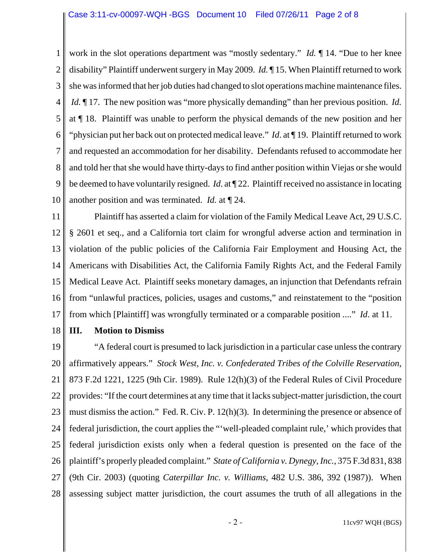1 2 3 4 5 6 7 8 9 10 work in the slot operations department was "mostly sedentary." *Id.* ¶ 14. "Due to her knee disability" Plaintiff underwent surgery in May 2009. *Id.* ¶ 15. When Plaintiff returned to work she was informed that her job duties had changed to slot operations machine maintenance files.  *Id.* ¶ 17. The new position was "more physically demanding" than her previous position. *Id.* at ¶ 18. Plaintiff was unable to perform the physical demands of the new position and her "physician put her back out on protected medical leave." *Id*. at ¶ 19. Plaintiff returned to work and requested an accommodation for her disability. Defendants refused to accommodate her and told her that she would have thirty-days to find anther position within Viejas or she would be deemed to have voluntarily resigned. *Id*. at ¶ 22. Plaintiff received no assistance in locating another position and was terminated. *Id.* at ¶ 24.

11 12 13 14 15 16 17 Plaintiff has asserted a claim for violation of the Family Medical Leave Act, 29 U.S.C. § 2601 et seq., and a California tort claim for wrongful adverse action and termination in violation of the public policies of the California Fair Employment and Housing Act, the Americans with Disabilities Act, the California Family Rights Act, and the Federal Family Medical Leave Act. Plaintiff seeks monetary damages, an injunction that Defendants refrain from "unlawful practices, policies, usages and customs," and reinstatement to the "position from which [Plaintiff] was wrongfully terminated or a comparable position ...." *Id*. at 11.

18

## **III. Motion to Dismiss**

19 20 21 22 23 24 25 26 27 28 "A federal court is presumed to lack jurisdiction in a particular case unless the contrary affirmatively appears." *Stock West, Inc. v. Confederated Tribes of the Colville Reservation*, 873 F.2d 1221, 1225 (9th Cir. 1989). Rule 12(h)(3) of the Federal Rules of Civil Procedure provides: "If the court determines at any time that it lacks subject-matter jurisdiction, the court must dismiss the action." Fed. R. Civ. P. 12(h)(3). In determining the presence or absence of federal jurisdiction, the court applies the "'well-pleaded complaint rule,' which provides that federal jurisdiction exists only when a federal question is presented on the face of the plaintiff's properly pleaded complaint." *State of California v. Dynegy, Inc.*, 375 F.3d 831, 838 (9th Cir. 2003) (quoting *Caterpillar Inc. v. Williams,* 482 U.S. 386, 392 (1987)). When assessing subject matter jurisdiction, the court assumes the truth of all allegations in the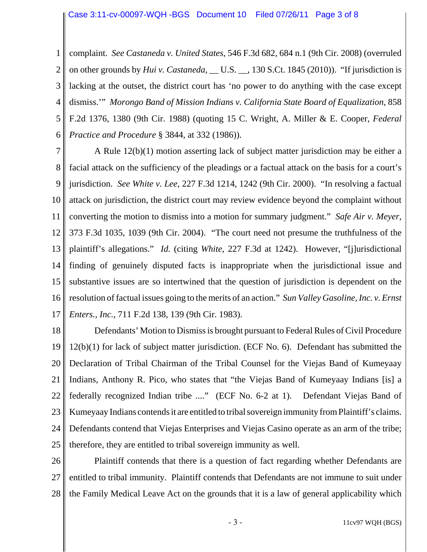1 2 3 4 5 6 complaint. *See Castaneda v. United States*, 546 F.3d 682, 684 n.1 (9th Cir. 2008) (overruled on other grounds by *Hui v. Castaneda*, \_\_ U.S. \_\_, 130 S.Ct. 1845 (2010)). "If jurisdiction is lacking at the outset, the district court has 'no power to do anything with the case except dismiss.'" *Morongo Band of Mission Indians v. California State Board of Equalization,* 858 F.2d 1376, 1380 (9th Cir. 1988) (quoting 15 C. Wright, A. Miller & E. Cooper, *Federal Practice and Procedure* § 3844, at 332 (1986)).

7 8 9 10 11 12 13 14 15 16 17 A Rule 12(b)(1) motion asserting lack of subject matter jurisdiction may be either a facial attack on the sufficiency of the pleadings or a factual attack on the basis for a court's jurisdiction. *See White v. Lee*, 227 F.3d 1214, 1242 (9th Cir. 2000). "In resolving a factual attack on jurisdiction, the district court may review evidence beyond the complaint without converting the motion to dismiss into a motion for summary judgment." *Safe Air v. Meyer*, 373 F.3d 1035, 1039 (9th Cir. 2004). "The court need not presume the truthfulness of the plaintiff's allegations." *Id.* (citing *White*, 227 F.3d at 1242). However, "[j]urisdictional finding of genuinely disputed facts is inappropriate when the jurisdictional issue and substantive issues are so intertwined that the question of jurisdiction is dependent on the resolution of factual issues going to the merits of an action." *Sun Valley Gasoline, Inc. v. Ernst Enters., Inc.*, 711 F.2d 138, 139 (9th Cir. 1983).

18 19 20 21 22 23 24 25 Defendants' Motion to Dismiss is brought pursuant to Federal Rules of Civil Procedure 12(b)(1) for lack of subject matter jurisdiction. (ECF No. 6). Defendant has submitted the Declaration of Tribal Chairman of the Tribal Counsel for the Viejas Band of Kumeyaay Indians, Anthony R. Pico, who states that "the Viejas Band of Kumeyaay Indians [is] a federally recognized Indian tribe ...." (ECF No. 6-2 at 1). Defendant Viejas Band of Kumeyaay Indians contends it are entitled to tribal sovereign immunity from Plaintiff's claims. Defendants contend that Viejas Enterprises and Viejas Casino operate as an arm of the tribe; therefore, they are entitled to tribal sovereign immunity as well.

26 27 28 Plaintiff contends that there is a question of fact regarding whether Defendants are entitled to tribal immunity. Plaintiff contends that Defendants are not immune to suit under the Family Medical Leave Act on the grounds that it is a law of general applicability which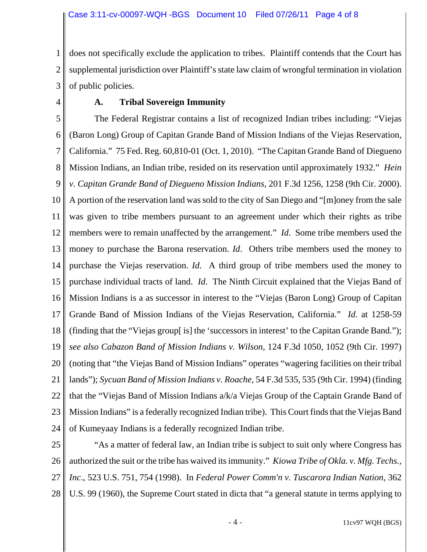1 2 3 does not specifically exclude the application to tribes. Plaintiff contends that the Court has supplemental jurisdiction over Plaintiff's state law claim of wrongful termination in violation of public policies.

4

# **A. Tribal Sovereign Immunity**

5 6 7 8 9 10 11 12 13 14 15 16 17 18 19 20 21 22 23 24 The Federal Registrar contains a list of recognized Indian tribes including: "Viejas (Baron Long) Group of Capitan Grande Band of Mission Indians of the Viejas Reservation, California." 75 Fed. Reg. 60,810-01 (Oct. 1, 2010). "The Capitan Grande Band of Diegueno Mission Indians, an Indian tribe, resided on its reservation until approximately 1932." *Hein v. Capitan Grande Band of Diegueno Mission Indians,* 201 F.3d 1256, 1258 (9th Cir. 2000). A portion of the reservation land was sold to the city of San Diego and "[m]oney from the sale was given to tribe members pursuant to an agreement under which their rights as tribe members were to remain unaffected by the arrangement." *Id*. Some tribe members used the money to purchase the Barona reservation. *Id*. Others tribe members used the money to purchase the Viejas reservation. *Id*. A third group of tribe members used the money to purchase individual tracts of land. *Id*. The Ninth Circuit explained that the Viejas Band of Mission Indians is a as successor in interest to the "Viejas (Baron Long) Group of Capitan Grande Band of Mission Indians of the Viejas Reservation, California." *Id*. at 1258-59 (finding that the "Viejas group[ is] the 'successors in interest' to the Capitan Grande Band."); *see also Cabazon Band of Mission Indians v. Wilson,* 124 F.3d 1050, 1052 (9th Cir. 1997) (noting that "the Viejas Band of Mission Indians" operates "wagering facilities on their tribal lands"); *Sycuan Band of Mission Indians v. Roache*, 54 F.3d 535, 535 (9th Cir. 1994) (finding that the "Viejas Band of Mission Indians a/k/a Viejas Group of the Captain Grande Band of Mission Indians" is a federally recognized Indian tribe). This Court finds that the Viejas Band of Kumeyaay Indians is a federally recognized Indian tribe.

25 26 27 28 "As a matter of federal law, an Indian tribe is subject to suit only where Congress has authorized the suit or the tribe has waived its immunity." *Kiowa Tribe of Okla. v. Mfg. Techs., Inc*., 523 U.S. 751, 754 (1998). In *Federal Power Comm'n v. Tuscarora Indian Nation*, 362 U.S. 99 (1960), the Supreme Court stated in dicta that "a general statute in terms applying to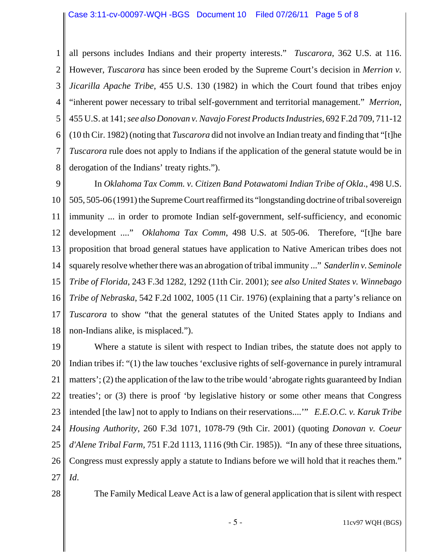1 2 3 4 5 6 7 8 all persons includes Indians and their property interests." *Tuscarora*, 362 U.S. at 116. However, *Tuscarora* has since been eroded by the Supreme Court's decision in *Merrion v. Jicarilla Apache Tribe*, 455 U.S. 130 (1982) in which the Court found that tribes enjoy "inherent power necessary to tribal self-government and territorial management." *Merrion*, 455 U.S. at 141; *see also Donovan v. Navajo Forest Products Industries,* 692 F.2d 709, 711-12 (10 th Cir. 1982) (noting that *Tuscarora* did not involve an Indian treaty and finding that "[t]he *Tuscarora* rule does not apply to Indians if the application of the general statute would be in derogation of the Indians' treaty rights.").

9 10 11 12 13 14 15 16 17 18 In *Oklahoma Tax Comm. v. Citizen Band Potawatomi Indian Tribe of Okla*., 498 U.S. 505, 505-06 (1991) the Supreme Court reaffirmed its "longstanding doctrine of tribal sovereign immunity ... in order to promote Indian self-government, self-sufficiency, and economic development ...." *Oklahoma Tax Comm*, 498 U.S. at 505-06. Therefore, "[t]he bare proposition that broad general statues have application to Native American tribes does not squarely resolve whether there was an abrogation of tribal immunity ..." *Sanderlin v. Seminole Tribe of Florida*, 243 F.3d 1282, 1292 (11th Cir. 2001); *see also United States v. Winnebago Tribe of Nebraska*, 542 F.2d 1002, 1005 (11 Cir. 1976) (explaining that a party's reliance on *Tuscarora* to show "that the general statutes of the United States apply to Indians and non-Indians alike, is misplaced.").

19 20 21 22 23 24 25 26 27 Where a statute is silent with respect to Indian tribes, the statute does not apply to Indian tribes if: "(1) the law touches 'exclusive rights of self-governance in purely intramural matters'; (2) the application of the law to the tribe would 'abrogate rights guaranteed by Indian treaties'; or (3) there is proof 'by legislative history or some other means that Congress intended [the law] not to apply to Indians on their reservations....'" *E.E.O.C. v. Karuk Tribe Housing Authority*, 260 F.3d 1071, 1078-79 (9th Cir. 2001) (quoting *Donovan v. Coeur d'Alene Tribal Farm,* 751 F.2d 1113, 1116 (9th Cir. 1985)). "In any of these three situations, Congress must expressly apply a statute to Indians before we will hold that it reaches them." *Id*.

28

The Family Medical Leave Act is a law of general application that is silent with respect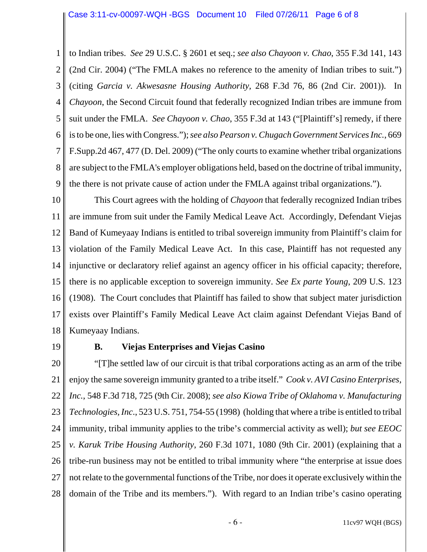1 2 3 4 5 6 7 8 9 to Indian tribes. *See* 29 U.S.C. § 2601 et seq.; *see also Chayoon v. Chao*, 355 F.3d 141, 143 (2nd Cir. 2004) ("The FMLA makes no reference to the amenity of Indian tribes to suit.") (citing *Garcia v. Akwesasne Housing Authority,* 268 F.3d 76, 86 (2nd Cir. 2001)). In *Chayoon*, the Second Circuit found that federally recognized Indian tribes are immune from suit under the FMLA. *See Chayoon v. Chao*, 355 F.3d at 143 ("[Plaintiff's] remedy, if there is to be one, lies with Congress."); *see also Pearson v. Chugach Government Services Inc.*, 669 F.Supp.2d 467, 477 (D. Del. 2009) ("The only courts to examine whether tribal organizations are subject to the FMLA's employer obligations held, based on the doctrine of tribal immunity, the there is not private cause of action under the FMLA against tribal organizations.").

10 11 12 13 14 15 16 17 18 This Court agrees with the holding of *Chayoon* that federally recognized Indian tribes are immune from suit under the Family Medical Leave Act. Accordingly, Defendant Viejas Band of Kumeyaay Indians is entitled to tribal sovereign immunity from Plaintiff's claim for violation of the Family Medical Leave Act. In this case, Plaintiff has not requested any injunctive or declaratory relief against an agency officer in his official capacity; therefore, there is no applicable exception to sovereign immunity. *See Ex parte Young*, 209 U.S. 123 (1908). The Court concludes that Plaintiff has failed to show that subject mater jurisdiction exists over Plaintiff's Family Medical Leave Act claim against Defendant Viejas Band of Kumeyaay Indians.

19

#### **B. Viejas Enterprises and Viejas Casino**

20 21 22 23 24 25 26 27 28 "[T]he settled law of our circuit is that tribal corporations acting as an arm of the tribe enjoy the same sovereign immunity granted to a tribe itself." *Cook v. AVI Casino Enterprises, Inc.*, 548 F.3d 718, 725 (9th Cir. 2008); *see also Kiowa Tribe of Oklahoma v. Manufacturing Technologies, Inc*., 523 U.S. 751, 754-55 (1998) (holding that where a tribe is entitled to tribal immunity, tribal immunity applies to the tribe's commercial activity as well); *but see EEOC v. Karuk Tribe Housing Authority*, 260 F.3d 1071, 1080 (9th Cir. 2001) (explaining that a tribe-run business may not be entitled to tribal immunity where "the enterprise at issue does not relate to the governmental functions of the Tribe, nor does it operate exclusively within the domain of the Tribe and its members."). With regard to an Indian tribe's casino operating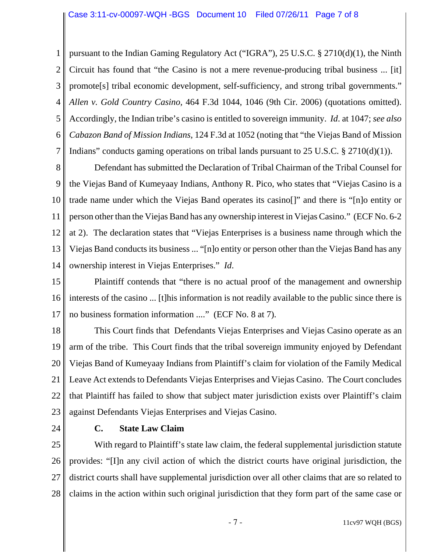1 2 3 4 5 6 7 pursuant to the Indian Gaming Regulatory Act ("IGRA"), 25 U.S.C. § 2710(d)(1), the Ninth Circuit has found that "the Casino is not a mere revenue-producing tribal business ... [it] promote[s] tribal economic development, self-sufficiency, and strong tribal governments." *Allen v. Gold Country Casino,* 464 F.3d 1044, 1046 (9th Cir. 2006) (quotations omitted). Accordingly, the Indian tribe's casino is entitled to sovereign immunity. *Id*. at 1047; *see also Cabazon Band of Mission Indians*, 124 F.3d at 1052 (noting that "the Viejas Band of Mission Indians" conducts gaming operations on tribal lands pursuant to 25 U.S.C. § 2710(d)(1)).

8 9 10 11 12 13 14 Defendant has submitted the Declaration of Tribal Chairman of the Tribal Counsel for the Viejas Band of Kumeyaay Indians, Anthony R. Pico, who states that "Viejas Casino is a trade name under which the Viejas Band operates its casino[]" and there is "[n]o entity or person other than the Viejas Band has any ownership interest in Viejas Casino." (ECF No. 6-2 at 2). The declaration states that "Viejas Enterprises is a business name through which the Viejas Band conducts its business ... "[n]o entity or person other than the Viejas Band has any ownership interest in Viejas Enterprises." *Id*.

15 16 17 Plaintiff contends that "there is no actual proof of the management and ownership interests of the casino ... [t]his information is not readily available to the public since there is no business formation information ...." (ECF No. 8 at 7).

18 19 20 21 22 23 This Court finds that Defendants Viejas Enterprises and Viejas Casino operate as an arm of the tribe. This Court finds that the tribal sovereign immunity enjoyed by Defendant Viejas Band of Kumeyaay Indians from Plaintiff's claim for violation of the Family Medical Leave Act extends to Defendants Viejas Enterprises and Viejas Casino. The Court concludes that Plaintiff has failed to show that subject mater jurisdiction exists over Plaintiff's claim against Defendants Viejas Enterprises and Viejas Casino.

24

## **C. State Law Claim**

25 26 27 28 With regard to Plaintiff's state law claim, the federal supplemental jurisdiction statute provides: "[I]n any civil action of which the district courts have original jurisdiction, the district courts shall have supplemental jurisdiction over all other claims that are so related to claims in the action within such original jurisdiction that they form part of the same case or